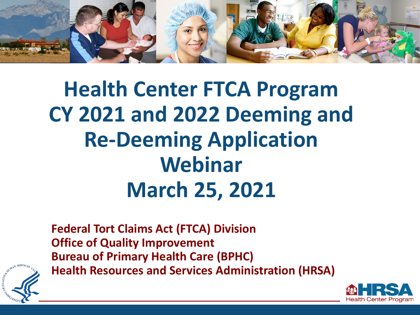

## **Health Center FTCA Program CY 2021 and 2022 Deeming and Re-Deeming Application Webinar March 25, 2021**

**Federal Tort Claims Act (FTCA) Division Office of Quality Improvement Bureau of Primary Health Care (BPHC) Health Resources and Services Administration (HRSA)**



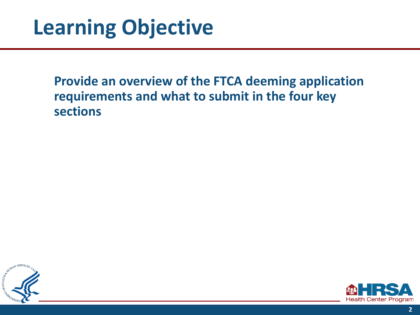#### **Provide an overview of the FTCA deeming application requirements and what to submit in the four key sections**



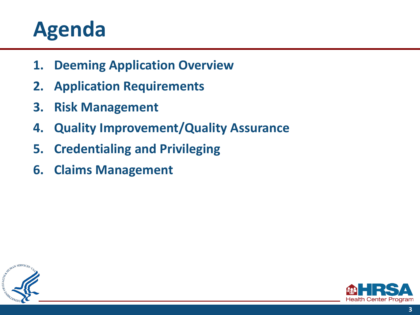### **Agenda**

- **1. Deeming Application Overview**
- **2. Application Requirements**
- **3. Risk Management**
- **4. Quality Improvement/Quality Assurance**
- **5. Credentialing and Privileging**
- **6. Claims Management**



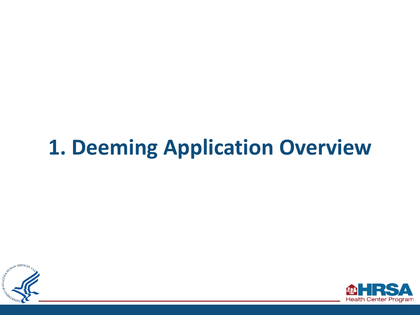## **1. Deeming Application Overview**



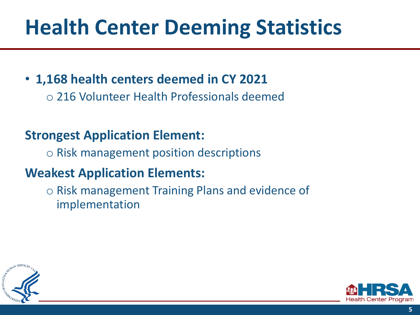## **Health Center Deeming Statistics**

- **1,168 health centers deemed in CY 2021** 
	- 216 Volunteer Health Professionals deemed

#### **Strongest Application Element:**

◦ Risk management position descriptions

#### **Weakest Application Elements:**

◦ Risk management Training Plans and evidence of implementation



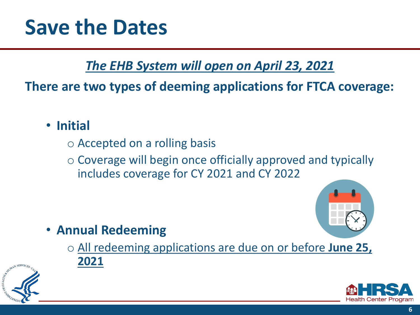#### *The EHB System will open on April 23, 2021*

#### **There are two types of deeming applications for FTCA coverage:**

- **Initial** 
	- Accepted on a rolling basis
	- Coverage will begin once officially approved and typically includes coverage for CY 2021 and CY 2022



- **Annual Redeeming** 
	- All redeeming applications are due on or before **June 25, 2021**



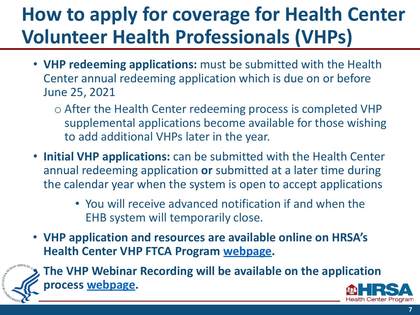#### **How to apply for coverage for Health Center Volunteer Health Professionals (VHPs)**

- **VHP redeeming applications:** must be submitted with the Health Center annual redeeming application which is due on or before June 25, 2021
	- After the Health Center redeeming process is completed VHP supplemental applications become available for those wishing to add additional VHPs later in the year.
- **Initial VHP applications:** can be submitted with the Health Center annual redeeming application **or** submitted at a later time during the calendar year when the system is open to accept applications
	- You will receive advanced notification if and when the EHB system will temporarily close.
- **VHP application and resources are available online on HRSA's Health Center VHP FTCA Program [webpage.](https://bphc.hrsa.gov/ftca/about/health-center-volunteers.html)**



• **The VHP Webinar Recording will be available on the application process [webpage.](https://bphc.hrsa.gov/ftca/hcap-process)**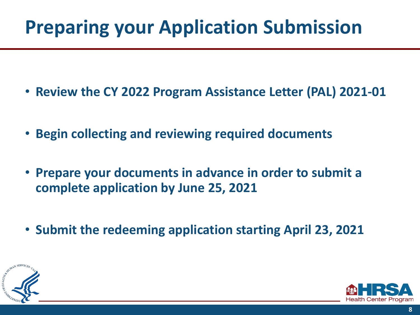#### **Preparing your Application Submission**

- **Review the CY 2022 Program Assistance Letter (PAL) 2021-01**
- **Begin collecting and reviewing required documents**
- **Prepare your documents in advance in order to submit a complete application by June 25, 2021**
- **Submit the redeeming application starting April 23, 2021**



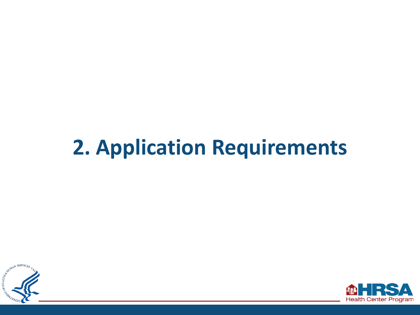## **2. Application Requirements**



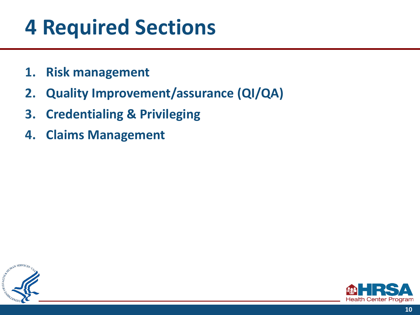### **4 Required Sections**

- **1. Risk management**
- **2. Quality Improvement/assurance (QI/QA)**
- **3. Credentialing & Privileging**
- **4. Claims Management**



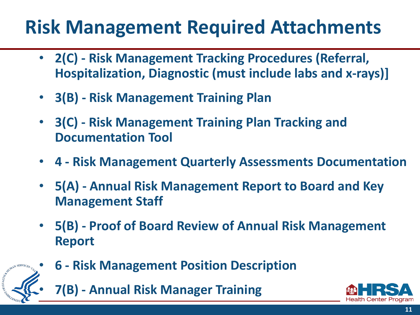#### **Risk Management Required Attachments**

- **2(C) - Risk Management Tracking Procedures (Referral, Hospitalization, Diagnostic (must include labs and x-rays)]**
- **3(B) Risk Management Training Plan**
- **3(C) Risk Management Training Plan Tracking and Documentation Tool**
- **4 Risk Management Quarterly Assessments Documentation**
- **5(A) - Annual Risk Management Report to Board and Key Management Staff**
- **5(B) Proof of Board Review of Annual Risk Management Report**



- **6 Risk Management Position Description** 
	- **7(B) - Annual Risk Manager Training**

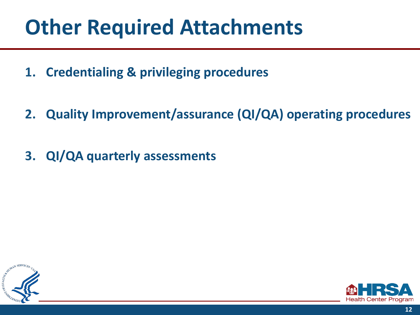### **Other Required Attachments**

- **1. Credentialing & privileging procedures**
- **2. Quality Improvement/assurance (QI/QA) operating procedures**
- **3. QI/QA quarterly assessments**



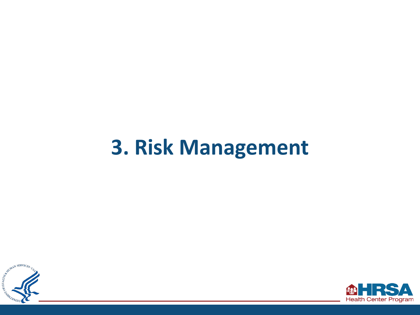#### **3. Risk Management**



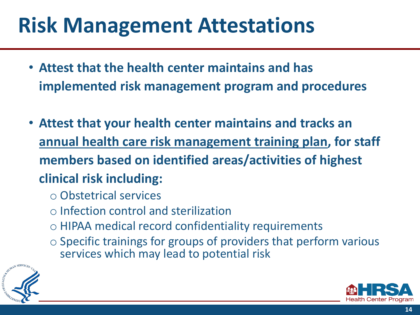### **Risk Management Attestations**

- **Attest that the health center maintains and has implemented risk management program and procedures**
- **Attest that your health center maintains and tracks an annual health care risk management training plan, for staff members based on identified areas/activities of highest clinical risk including:** 
	- Obstetrical services
	- Infection control and sterilization
	- HIPAA medical record confidentiality requirements
	- Specific trainings for groups of providers that perform various services which may lead to potential risk



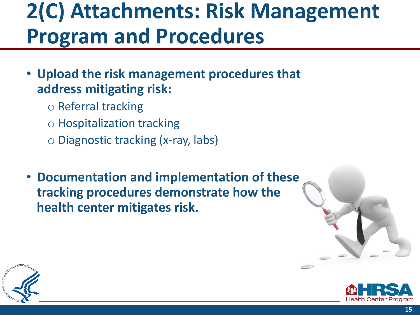### **2(C) Attachments: Risk Management Program and Procedures**

- **Upload the risk management procedures that address mitigating risk:** 
	- Referral tracking
	- Hospitalization tracking
	- Diagnostic tracking (x-ray, labs)
- **Documentation and implementation of these tracking procedures demonstrate how the health center mitigates risk.**





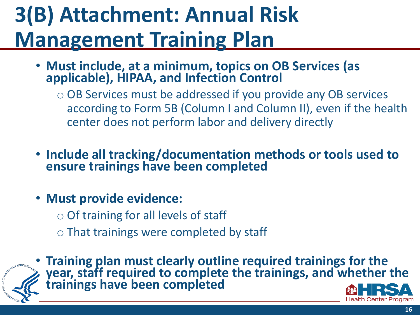# **3(B) Attachment: Annual Risk Management Training Plan**

- **Must include, at a minimum, topics on OB Services (as applicable), HIPAA, and Infection Control** 
	- OB Services must be addressed if you provide any OB services according to Form 5B (Column I and Column II), even if the health center does not perform labor and delivery directly
- **Include all tracking/documentation methods or tools used to ensure trainings have been completed**
- **Must provide evidence:** 
	- Of training for all levels of staff
	- That trainings were completed by staff



• **Training plan must clearly outline required trainings for the year, staff required to complete the trainings, and whether the trainings have been completed**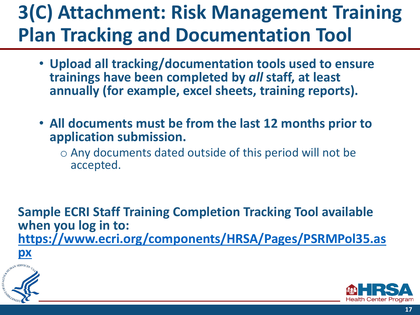#### **3(C) Attachment: Risk Management Training Plan Tracking and Documentation Tool**

- **Upload all tracking/documentation tools used to ensure trainings have been completed by** *all* **staff, at least annually (for example, excel sheets, training reports).**
- **All documents must be from the last 12 months prior to application submission.** 
	- Any documents dated outside of this period will not be accepted.

**Sample ECRI Staff Training Completion Tracking Tool available when you log in to: [https://www.ecri.org/components/HRSA/Pages/PSRMPol35.as](https://www.ecri.org/components/HRSA/Pages/PSRMPol35.aspx) px**



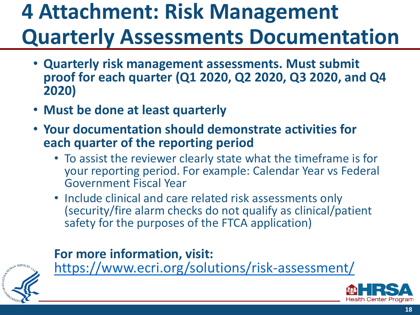## **4 Attachment: Risk Management Quarterly Assessments Documentation**

- **Quarterly risk management assessments. Must submit proof for each quarter (Q1 2020, Q2 2020, Q3 2020, and Q4 2020)**
- **Must be done at least quarterly**
- **Your documentation should demonstrate activities for each quarter of the reporting period** 
	- To assist the reviewer clearly state what the timeframe is for your reporting period. For example: Calendar Year vs Federal Government Fiscal Year
	- Include clinical and care related risk assessments only (security/fire alarm checks do not qualify as clinical/patient safety for the purposes of the FTCA application)

#### **For more information, visit:**



<https://www.ecri.org/solutions/risk-assessment/>

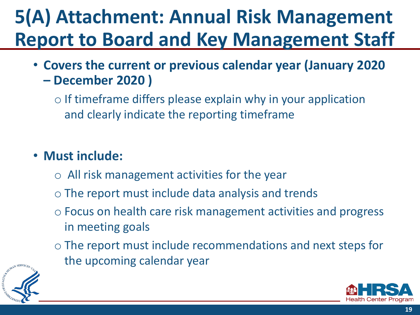#### **5(A) Attachment: Annual Risk Management Report to Board and Key Management Staff**

- **Covers the current or previous calendar year (January 2020 – December 2020 )** 
	- If timeframe differs please explain why in your application and clearly indicate the reporting timeframe

#### • **Must include:**

- All risk management activities for the year
- The report must include data analysis and trends
- Focus on health care risk management activities and progress in meeting goals
- The report must include recommendations and next steps for the upcoming calendar year



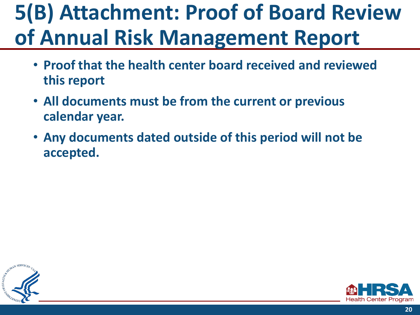# **5(B) Attachment: Proof of Board Review of Annual Risk Management Report**

- **Proof that the health center board received and reviewed this report**
- **All documents must be from the current or previous calendar year.**
- **Any documents dated outside of this period will not be accepted.**



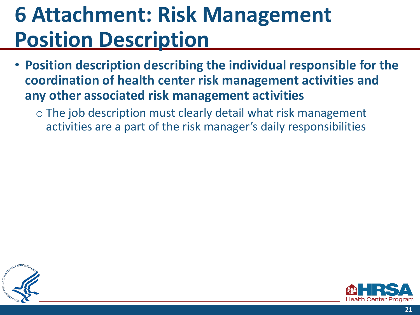## **6 Attachment: Risk Management Position Description**

- **Position description describing the individual responsible for the coordination of health center risk management activities and any other associated risk management activities** 
	- The job description must clearly detail what risk management activities are a part of the risk manager's daily responsibilities



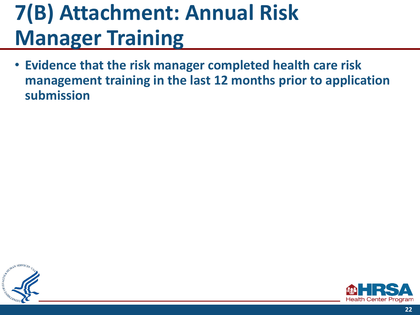## **7(B) Attachment: Annual Risk Manager Training**

• **Evidence that the risk manager completed health care risk management training in the last 12 months prior to application submission**



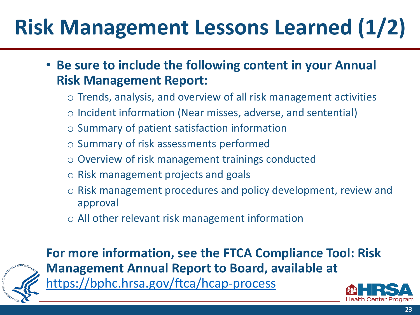# **Risk Management Lessons Learned (1/2)**

• **Be sure to include the following content in your Annual Risk Management Report:** 

- Trends, analysis, and overview of all risk management activities
- Incident information (Near misses, adverse, and sentential)
- Summary of patient satisfaction information
- Summary of risk assessments performed
- Overview of risk management trainings conducted
- Risk management projects and goals
- Risk management procedures and policy development, review and approval
- All other relevant risk management information



**For more information, see the FTCA Compliance Tool: Risk Management Annual Report to Board, available at**  <https://bphc.hrsa.gov/ftca/hcap-process>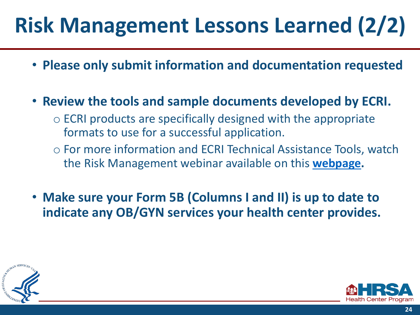# **Risk Management Lessons Learned (2/2)**

- **Please only submit information and documentation requested**
- **Review the tools and sample documents developed by ECRI.** 
	- ECRI products are specifically designed with the appropriate formats to use for a successful application.
	- For more information and ECRI Technical Assistance Tools, watch the Risk Management webinar available on this **[webpage](https://bphc.hrsa.gov/ftca/hcap-process).**
- **Make sure your Form 5B (Columns I and II) is up to date to indicate any OB/GYN services your health center provides.**



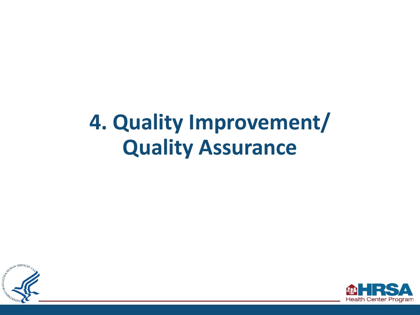## **4. Quality Improvement/ Quality Assurance**



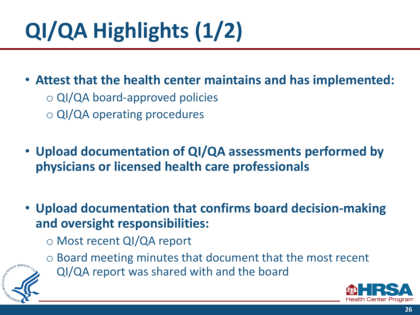# **QI/QA Highlights(1/2)**

• **Attest that the health center maintains and has implemented:** 

- QI/QA board-approved policies
- QI/QA operating procedures

• **Upload documentation of QI/QA assessments performed by physicians or licensed health care professionals** 

- **Upload documentation that confirms board decision-making and oversight responsibilities:** 
	- Most recent QI/QA report
	- Board meeting minutes that document that the most recent
- 



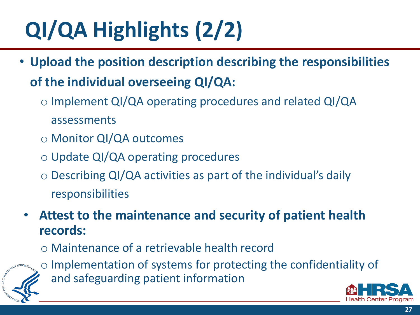# **QI/QA Highlights (2/2)**

- **Upload the position description describing the responsibilities of the individual overseeing QI/QA:** 
	- Implement QI/QA operating procedures and related QI/QA assessments
	- Monitor QI/QA outcomes
	- Update QI/QA operating procedures
	- Describing QI/QA activities as part of the individual's daily responsibilities
- **Attest to the maintenance and security of patient health records:** 
	- Maintenance of a retrievable health record



◦ Implementation of systems for protecting the confidentiality of and safeguarding patient information

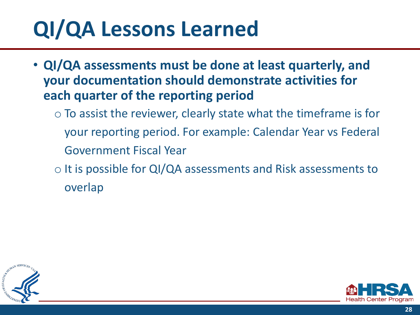# **QI/QA Lessons Learned**

- **QI/QA assessments must be done at least quarterly, and your documentation should demonstrate activities for each quarter of the reporting period** 
	- $\circ$  To assist the reviewer, clearly state what the timeframe is for your reporting period. For example: Calendar Year vs Federal Government Fiscal Year
	- It is possible for QI/QA assessments and Risk assessments to overlap



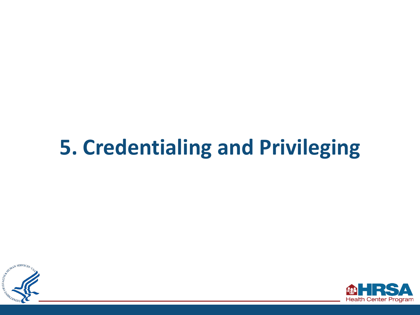## **5. Credentialing and Privileging**



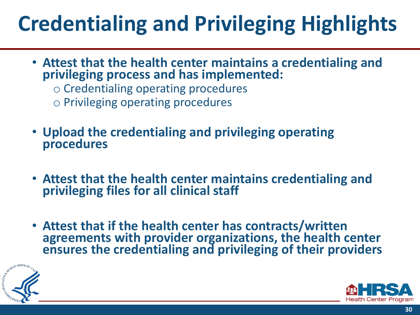# **Credentialing and Privileging Highlights**

- **Attest that the health center maintains a credentialing and privileging process and has implemented:** 
	- Credentialing operating procedures
	- Privileging operating procedures
- **Upload the credentialing and privileging operating procedures**
- **Attest that the health center maintains credentialing and privileging files for all clinical staff**
- **Attest that if the health center has contracts/written agreements with provider organizations, the health center ensures the credentialing and privileging of their providers**



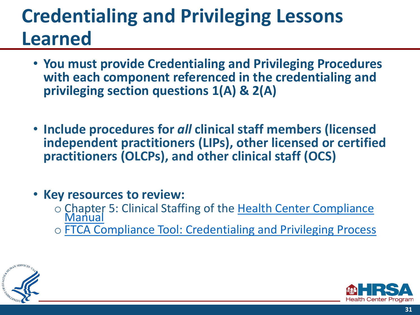#### **Credentialing and Privileging Lessons Learned**

- **You must provide Credentialing and Privileging Procedures with each component referenced in the credentialing and privileging section questions 1(A) & 2(A)**
- **Include procedures for** *all* **clinical staff members (licensed independent practitioners (LIPs), other licensed or certified practitioners (OLCPs), and other clinical staff (OCS)**
- **Key resources to review:** 
	- [Chapter 5: Clinical Staffing of the Health Center Compliance](https://bphc.hrsa.gov/programrequirements/compliancemanual/chapter-5.html) [Manual](https://bphc.hrsa.gov/programrequirements/compliancemanual/chapter-5.html)
	- [FTCA Compliance Tool: Credentialing and Privileging Process](https://bphc.hrsa.gov/sites/default/files/bphc/ftca/healthcenters/ftca-compliance-tool-credentialing-privileging.pdf)



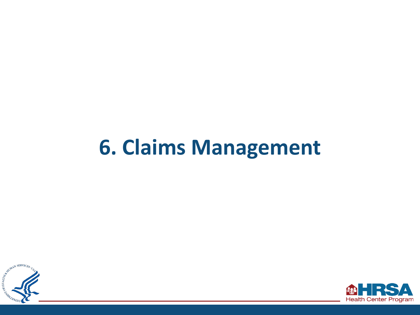### **6. Claims Management**



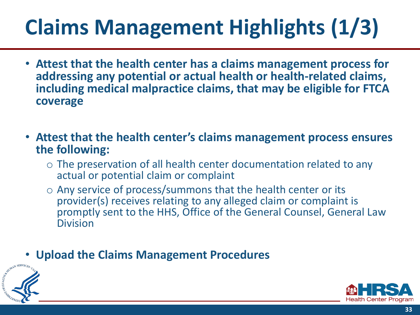# **Claims Management Highlights(1/3)**

- **Attest that the health center has a claims management process for addressing any potential or actual health or health-related claims, including medical malpractice claims, that may be eligible for FTCA coverage**
- **Attest that the health center's claims management process ensures the following:** 
	- $\circ$  The preservation of all health center documentation related to any actual or potential claim or complaint
	- Any service of process/summons that the health center or its provider(s) receives relating to any alleged claim or complaint is promptly sent to the HHS, Office of the General Counsel, General Law Division
- **Upload the Claims Management Procedures**



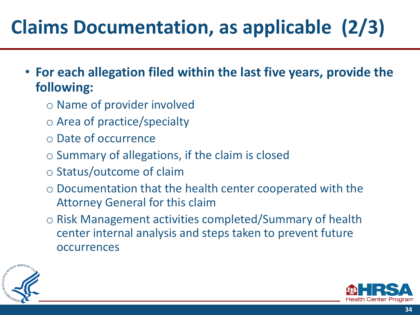### **Claims Documentation, as applicable (2/3)**

- **For each allegation filed within the last five years, provide the following:** 
	- Name of provider involved
	- Area of practice/specialty
	- Date of occurrence
	- Summary of allegations, if the claim is closed
	- Status/outcome of claim
	- Documentation that the health center cooperated with the Attorney General for this claim
	- Risk Management activities completed/Summary of health center internal analysis and steps taken to prevent future occurrences



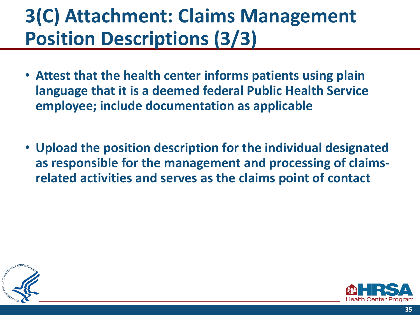#### **3(C) Attachment: Claims Management Position Descriptions (3/3)**

- **Attest that the health center informs patients using plain language that it is a deemed federal Public Health Service employee; include documentation as applicable**
- **Upload the position description for the individual designated as responsible for the management and processing of claimsrelated activities and serves as the claims point of contact**



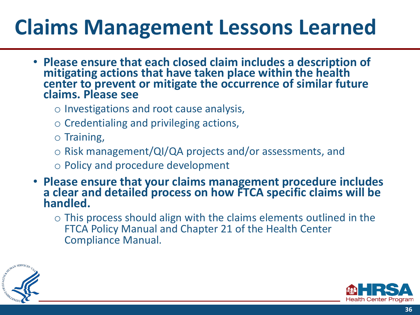## **Claims Management Lessons Learned**

- **Please ensure that each closed claim includes a description of mitigating actions that have taken place within the health center to prevent or mitigate the occurrence of similar future claims. Please see** 
	- Investigations and root cause analysis,
	- Credentialing and privileging actions,
	- Training,
	- Risk management/QI/QA projects and/or assessments, and
	- Policy and procedure development
- **Please ensure that your claims management procedure includes a clear and detailed process on how FTCA specific claims will be handled.** 
	- $\circ$  This process should align with the claims elements outlined in the FTCA Policy Manual and Chapter 21 of the Health Center Compliance Manual.



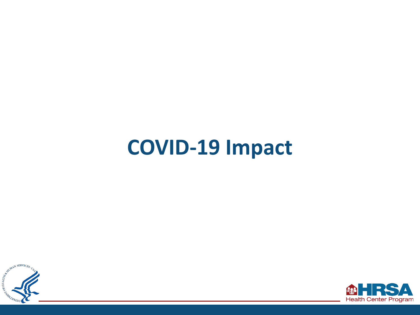#### **COVID-19 Impact**



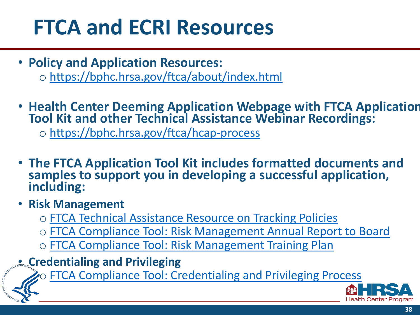## **FTCA and ECRI Resources**

- **Policy and Application Resources:**  ◦ <https://bphc.hrsa.gov/ftca/about/index.html>
- **Health Center Deeming Application Webpage with FTCA Application Tool Kit and other Technical Assistance Webinar Recordings:**

◦ <https://bphc.hrsa.gov/ftca/hcap-process>

- **The FTCA Application Tool Kit includes formatted documents and samples to support you in developing a successful application, including:**
- **Risk Management**

M.Thestan

- [FTCA Technical Assistance Resource on Tracking Policies](https://bphc.hrsa.gov/sites/default/files/bphc/ftca/healthcenters/ftca-deeming-app-tracking-checklist-cy-19.pdf)
- [FTCA Compliance Tool: Risk Management Annual Report to Board](https://bphc.hrsa.gov/sites/default/files/bphc/ftca/healthcenters/ftca-compliance-tool-risk-management-annual-report.pdf)
- [FTCA Compliance Tool: Risk Management Training Plan](https://bphc.hrsa.gov/sites/default/files/bphc/ftca/healthcenters/ftca-compliance-tool-risk-management-training-plan.pdf)
- **Credentialing and Privileging**

◦ [FTCA Compliance Tool: Credentialing and Privileging Process](https://bphc.hrsa.gov/sites/default/files/bphc/ftca/healthcenters/ftca-compliance-tool-credentialing-privileging.pdf)

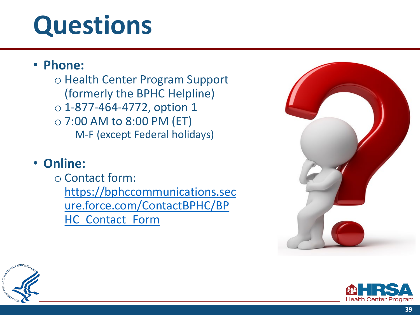# **Questions**

#### • **Phone:**

◦ Health Center Program Support (formerly the BPHC Helpline) ◦ 1-877-464-4772, option 1 ◦ 7:00 AM to 8:00 PM (ET) M-F (except Federal holidays)

#### • **Online:**

◦ Contact form: https://bphccommunications.sec [ure.force.com/ContactBPHC/BP](https://bphccommunications.secure.force.com/ContactBPHC/BPHC_Contact_Form)  HC\_Contact\_Form





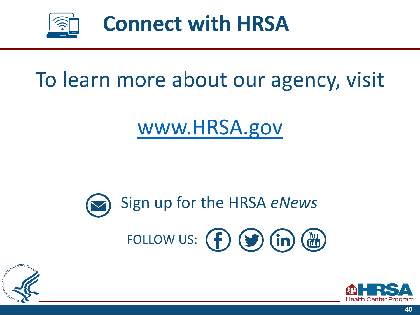

### To learn more about our agency, visit

#### [www.HRSA.gov](http://www.hrsa.gov/)

# Sign up for the HRSA *eNews*  FOLLOW US:  $\left(\begin{matrix} \mathbf{f} \end{matrix}\right) \left(\begin{matrix} \mathbf{g} \end{matrix}\right) \left(\begin{matrix} \mathbf{m} \end{matrix}\right) \left(\begin{matrix} \mathbf{m} \end{matrix}\right)$